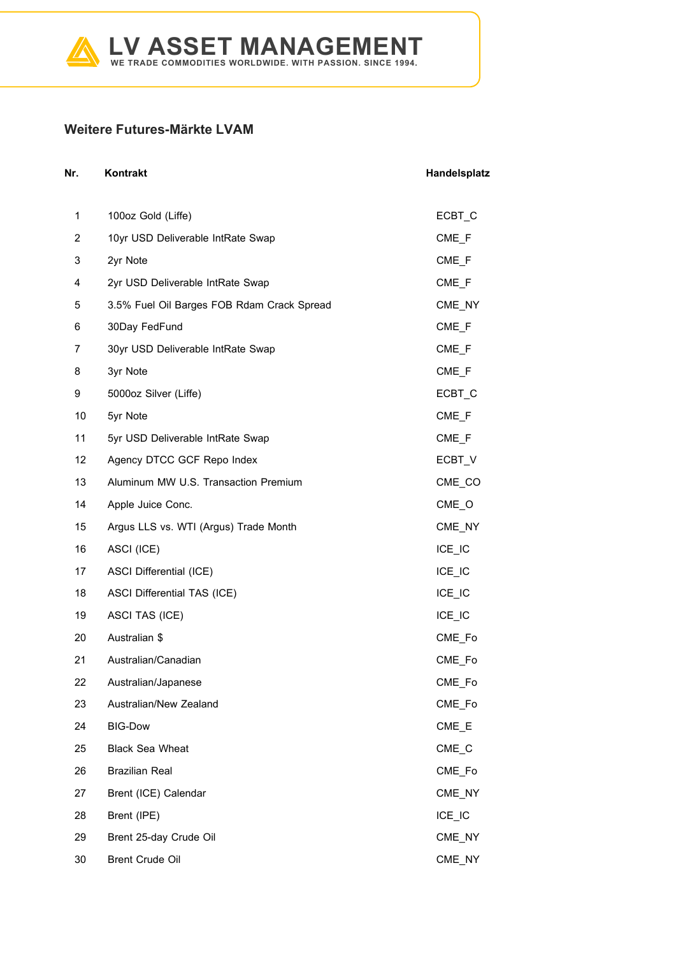

## **Weitere Futures-Märkte LVAM**

| Nr. | Kontrakt                                   | Handelsplatz                    |
|-----|--------------------------------------------|---------------------------------|
| 1   | 100oz Gold (Liffe)                         | ECBT_C                          |
| 2   | 10yr USD Deliverable IntRate Swap          | $CME_F$                         |
| 3   | 2yr Note                                   | CME <sub>F</sub>                |
| 4   | 2yr USD Deliverable IntRate Swap           | $CME$ <sub>F</sub>              |
| 5   | 3.5% Fuel Oil Barges FOB Rdam Crack Spread | CME_NY                          |
| 6   | 30Day FedFund                              | CME <sub>F</sub>                |
| 7   | 30yr USD Deliverable IntRate Swap          | $CME$ <sub>F</sub>              |
| 8   | 3yr Note                                   | CME_F                           |
| 9   | 5000oz Silver (Liffe)                      | ECBT <sub>C</sub>               |
| 10  | 5yr Note                                   | CME <sub>F</sub>                |
| 11  | 5yr USD Deliverable IntRate Swap           | $CME$ <sub><math>F</math></sub> |
| 12  | Agency DTCC GCF Repo Index                 | ECBT V                          |
| 13  | Aluminum MW U.S. Transaction Premium       | CME_CO                          |
| 14  | Apple Juice Conc.                          | $CME_$                          |
| 15  | Argus LLS vs. WTI (Argus) Trade Month      | CME_NY                          |
| 16  | ASCI (ICE)                                 | $ICE$ $IC$                      |
| 17  | <b>ASCI Differential (ICE)</b>             | ICE_IC                          |
| 18  | <b>ASCI Differential TAS (ICE)</b>         | ICE_IC                          |
| 19  | ASCI TAS (ICE)                             | ICE_IC                          |
| 20  | Australian \$                              | CME Fo                          |
| 21  | Australian/Canadian                        | CME_Fo                          |
| 22  | Australian/Japanese                        | CME_Fo                          |
| 23  | Australian/New Zealand                     | CME_Fo                          |
| 24  | <b>BIG-Dow</b>                             | CME_E                           |
| 25  | <b>Black Sea Wheat</b>                     | $CME_C$                         |
| 26  | <b>Brazilian Real</b>                      | CME Fo                          |
| 27  | Brent (ICE) Calendar                       | CME_NY                          |
| 28  | Brent (IPE)                                | $ICE_lC$                        |
| 29  | Brent 25-day Crude Oil                     | CME_NY                          |
| 30  | <b>Brent Crude Oil</b>                     | CME_NY                          |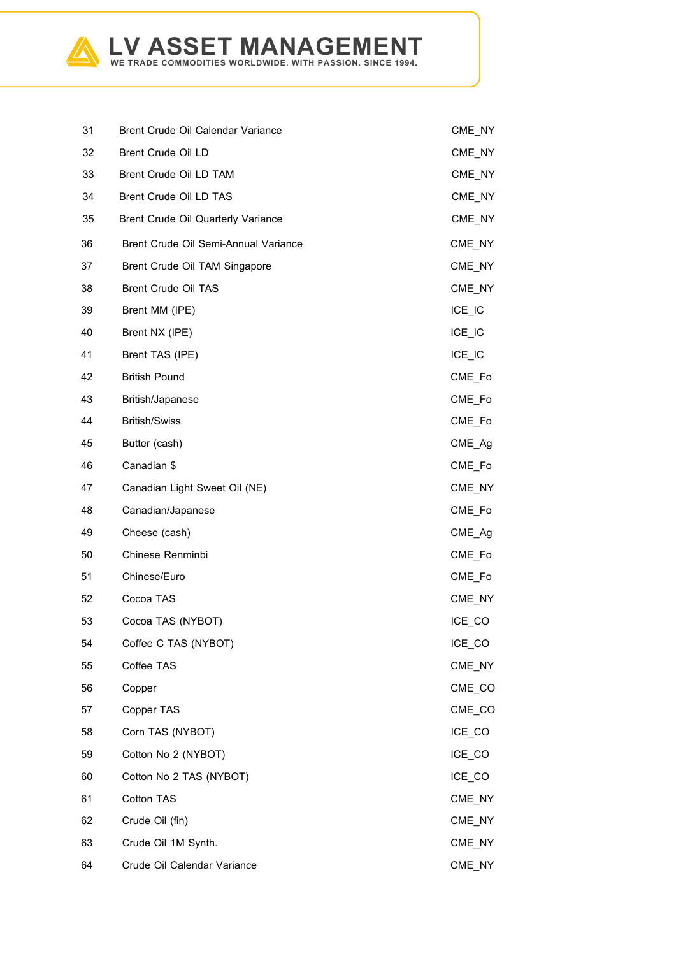

| 31 | Brent Crude Oil Calendar Variance    | CME NY   |
|----|--------------------------------------|----------|
| 32 | Brent Crude Oil LD                   | CME_NY   |
| 33 | Brent Crude Oil LD TAM               | CME_NY   |
| 34 | Brent Crude Oil LD TAS               | CME NY   |
| 35 | Brent Crude Oil Quarterly Variance   | CME_NY   |
| 36 | Brent Crude Oil Semi-Annual Variance | CME NY   |
| 37 | Brent Crude Oil TAM Singapore        | CME_NY   |
| 38 | <b>Brent Crude Oil TAS</b>           | CME NY   |
| 39 | Brent MM (IPE)                       | $ICE_l$  |
| 40 | Brent NX (IPE)                       | $ICE_l$  |
| 41 | Brent TAS (IPE)                      | $ICE_lC$ |
| 42 | <b>British Pound</b>                 | CME_Fo   |
| 43 | British/Japanese                     | CME_Fo   |
| 44 | <b>British/Swiss</b>                 | CME_Fo   |
| 45 | Butter (cash)                        | CME Ag   |
| 46 | Canadian \$                          | CME_Fo   |
| 47 | Canadian Light Sweet Oil (NE)        | CME_NY   |
| 48 | Canadian/Japanese                    | CME_Fo   |
| 49 | Cheese (cash)                        | CME_Ag   |
| 50 | Chinese Renminbi                     | CME_Fo   |
| 51 | Chinese/Euro                         | CME Fo   |
| 52 | Cocoa TAS                            | CME NY   |
| 53 | Cocoa TAS (NYBOT)                    | ICE_CO   |
| 54 | Coffee C TAS (NYBOT)                 | ICE_CO   |
| 55 | Coffee TAS                           | CME_NY   |
| 56 | Copper                               | CME_CO   |
| 57 | Copper TAS                           | CME_CO   |
| 58 | Corn TAS (NYBOT)                     | ICE CO   |
| 59 | Cotton No 2 (NYBOT)                  | ICE_CO   |
| 60 | Cotton No 2 TAS (NYBOT)              | ICE_CO   |
| 61 | Cotton TAS                           | CME_NY   |
| 62 | Crude Oil (fin)                      | CME_NY   |
| 63 | Crude Oil 1M Synth.                  | CME_NY   |
| 64 | Crude Oil Calendar Variance          | CME_NY   |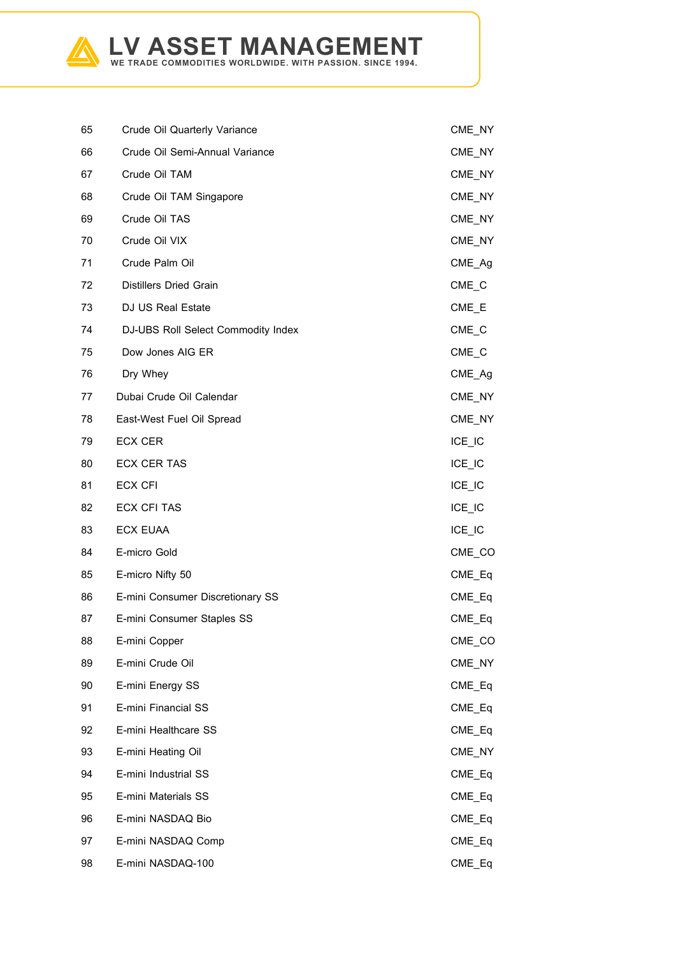

| 65 | Crude Oil Quarterly Variance       | CME_NY     |
|----|------------------------------------|------------|
| 66 | Crude Oil Semi-Annual Variance     | CME_NY     |
| 67 | Crude Oil TAM                      | CME_NY     |
| 68 | Crude Oil TAM Singapore            | CME_NY     |
| 69 | Crude Oil TAS                      | CME_NY     |
| 70 | Crude Oil VIX                      | CME_NY     |
| 71 | Crude Palm Oil                     | CME Ag     |
| 72 | <b>Distillers Dried Grain</b>      | $CME_C$    |
| 73 | <b>DJ US Real Estate</b>           | $CME$ $E$  |
| 74 | DJ-UBS Roll Select Commodity Index | $CME_C$    |
| 75 | Dow Jones AIG ER                   | $CME_C$    |
| 76 | Dry Whey                           | CME_Ag     |
| 77 | Dubai Crude Oil Calendar           | CME_NY     |
| 78 | East-West Fuel Oil Spread          | CME_NY     |
| 79 | <b>ECX CER</b>                     | $ICE$ $IC$ |
| 80 | <b>ECX CER TAS</b>                 | $ICE_l$    |
| 81 | <b>ECX CFI</b>                     | $ICE$ $IC$ |
| 82 | <b>ECX CFI TAS</b>                 | $ICE_l$    |
| 83 | <b>ECX EUAA</b>                    | $ICE$ $IC$ |
| 84 | E-micro Gold                       | CME_CO     |
| 85 | E-micro Nifty 50                   | CME_Eq     |
| 86 | E-mini Consumer Discretionary SS   | CME_Eq     |
| 87 | E-mini Consumer Staples SS         | $CME_Eq$   |
| 88 | E-mini Copper                      | CME_CO     |
| 89 | E-mini Crude Oil                   | CME_NY     |
| 90 | E-mini Energy SS                   | CME_Eq     |
| 91 | E-mini Financial SS                | $CME_Eq$   |
| 92 | E-mini Healthcare SS               | CME Eq     |
| 93 | E-mini Heating Oil                 | CME_NY     |
| 94 | E-mini Industrial SS               | $CME_Eq$   |
| 95 | E-mini Materials SS                | CME_Eq     |
| 96 | E-mini NASDAQ Bio                  | CME_Eq     |
| 97 | E-mini NASDAQ Comp                 | $CME_Eq$   |
| 98 | E-mini NASDAQ-100                  | CME_Eq     |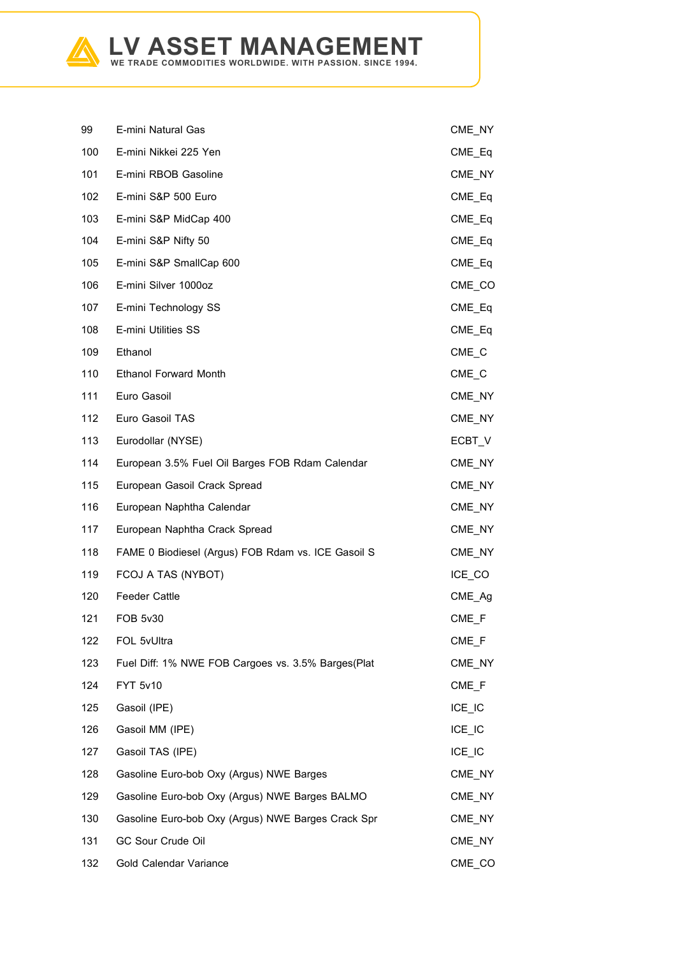

| 99  | E-mini Natural Gas                                 | CME_NY              |
|-----|----------------------------------------------------|---------------------|
| 100 | E-mini Nikkei 225 Yen                              | $CME_Eq$            |
| 101 | E-mini RBOB Gasoline                               | CME_NY              |
| 102 | E-mini S&P 500 Euro                                | $CME_Eq$            |
| 103 | E-mini S&P MidCap 400                              | $CME_Eq$            |
| 104 | E-mini S&P Nifty 50                                | CME_Eq              |
| 105 | E-mini S&P SmallCap 600                            | $CME_Eq$            |
| 106 | E-mini Silver 1000oz                               | CME_CO              |
| 107 | E-mini Technology SS                               | CME_Eq              |
| 108 | <b>E-mini Utilities SS</b>                         | CME_Eq              |
| 109 | Ethanol                                            | CME C               |
| 110 | <b>Ethanol Forward Month</b>                       | $CME_C$             |
| 111 | Euro Gasoil                                        | CME_NY              |
| 112 | Euro Gasoil TAS                                    | CME NY              |
| 113 | Eurodollar (NYSE)                                  | ECBT_V              |
| 114 | European 3.5% Fuel Oil Barges FOB Rdam Calendar    | CME_NY              |
| 115 | European Gasoil Crack Spread                       | CME_NY              |
| 116 | European Naphtha Calendar                          | CME_NY              |
| 117 | European Naphtha Crack Spread                      | CME_NY              |
| 118 | FAME 0 Biodiesel (Argus) FOB Rdam vs. ICE Gasoil S | CME NY              |
| 119 | FCOJ A TAS (NYBOT)                                 | ICE CO              |
| 120 | <b>Feeder Cattle</b>                               | CME Ag              |
| 121 | <b>FOB 5v30</b>                                    | $CME$ <sub>F</sub>  |
| 122 | FOL 5vUltra                                        | CME_F               |
| 123 | Fuel Diff: 1% NWE FOB Cargoes vs. 3.5% Barges(Plat | CME_NY              |
| 124 | FYT 5v10                                           | CME F               |
| 125 | Gasoil (IPE)                                       | $ICE_l$             |
| 126 | Gasoil MM (IPE)                                    | $ICE_l$             |
| 127 | Gasoil TAS (IPE)                                   | ICE IC              |
| 128 | Gasoline Euro-bob Oxy (Argus) NWE Barges           | CME_NY              |
| 129 | Gasoline Euro-bob Oxy (Argus) NWE Barges BALMO     | CME_NY              |
| 130 | Gasoline Euro-bob Oxy (Argus) NWE Barges Crack Spr | CME_NY              |
| 131 | GC Sour Crude Oil                                  | CME_NY              |
| 132 | Gold Calendar Variance                             | $CME$ <sub>CO</sub> |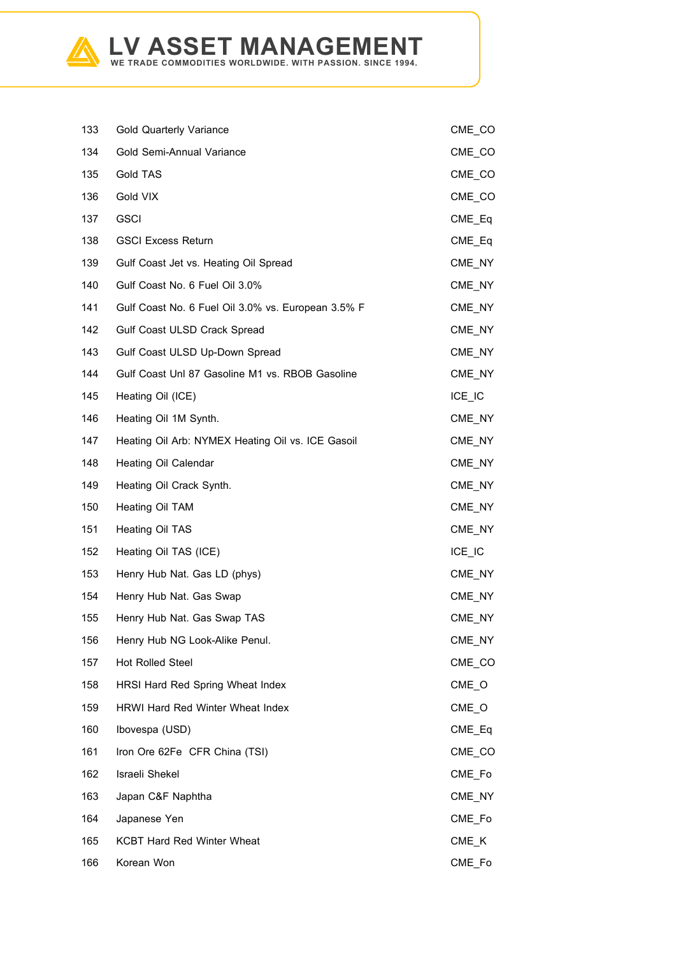

| 133 | <b>Gold Quarterly Variance</b>                     | CME_CO               |
|-----|----------------------------------------------------|----------------------|
| 134 | Gold Semi-Annual Variance                          | CME_CO               |
| 135 | Gold TAS                                           | CME_CO               |
| 136 | Gold VIX                                           | $CME$ <sub>_CO</sub> |
| 137 | <b>GSCI</b>                                        | CME Eq               |
| 138 | <b>GSCI Excess Return</b>                          | $CME_Eq$             |
| 139 | Gulf Coast Jet vs. Heating Oil Spread              | CME_NY               |
| 140 | Gulf Coast No. 6 Fuel Oil 3.0%                     | CME NY               |
| 141 | Gulf Coast No. 6 Fuel Oil 3.0% vs. European 3.5% F | CME_NY               |
| 142 | Gulf Coast ULSD Crack Spread                       | CME_NY               |
| 143 | Gulf Coast ULSD Up-Down Spread                     | CME NY               |
| 144 | Gulf Coast Unl 87 Gasoline M1 vs. RBOB Gasoline    | CME NY               |
| 145 | Heating Oil (ICE)                                  | ICE IC               |
| 146 | Heating Oil 1M Synth.                              | CME NY               |
| 147 | Heating Oil Arb: NYMEX Heating Oil vs. ICE Gasoil  | CME_NY               |
| 148 | Heating Oil Calendar                               | CME NY               |
| 149 | Heating Oil Crack Synth.                           | CME_NY               |
| 150 | Heating Oil TAM                                    | CME_NY               |
| 151 | Heating Oil TAS                                    | CME_NY               |
| 152 | Heating Oil TAS (ICE)                              | $ICE_I$              |
| 153 | Henry Hub Nat. Gas LD (phys)                       | CME_NY               |
| 154 | Henry Hub Nat. Gas Swap                            | CME NY               |
| 155 | Henry Hub Nat. Gas Swap TAS                        | CME_NY               |
| 156 | Henry Hub NG Look-Alike Penul.                     | CME_NY               |
| 157 | <b>Hot Rolled Steel</b>                            | CME_CO               |
| 158 | HRSI Hard Red Spring Wheat Index                   | $CME_O$              |
| 159 | <b>HRWI Hard Red Winter Wheat Index</b>            | $CME_$               |
| 160 | Ibovespa (USD)                                     | CME_Eq               |
| 161 | Iron Ore 62Fe CFR China (TSI)                      | CME_CO               |
| 162 | Israeli Shekel                                     | CME_Fo               |
| 163 | Japan C&F Naphtha                                  | CME NY               |
| 164 | Japanese Yen                                       | CME_Fo               |
| 165 | <b>KCBT Hard Red Winter Wheat</b>                  | $CME$ <sub>K</sub>   |
| 166 | Korean Won                                         | CME Fo               |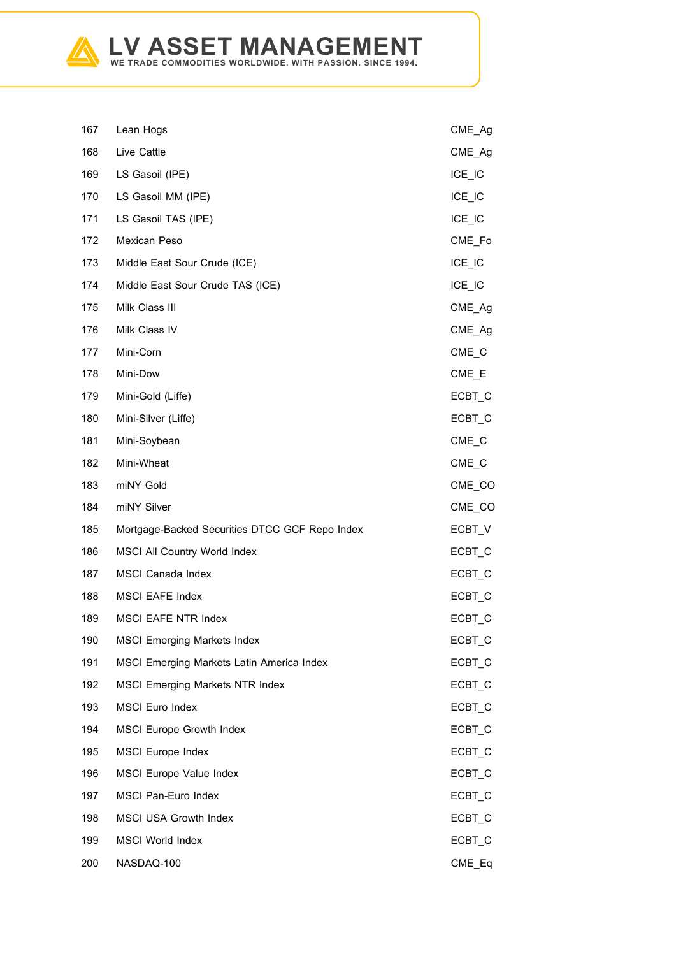

| 167 | Lean Hogs                                      | CME_Ag            |
|-----|------------------------------------------------|-------------------|
| 168 | Live Cattle                                    | CME_Ag            |
| 169 | LS Gasoil (IPE)                                | $ICE$ $IC$        |
| 170 | LS Gasoil MM (IPE)                             | $ICE$ $IC$        |
| 171 | LS Gasoil TAS (IPE)                            | $ICE$ $IC$        |
| 172 | Mexican Peso                                   | CME Fo            |
| 173 | Middle East Sour Crude (ICE)                   | $ICE_l$           |
| 174 | Middle East Sour Crude TAS (ICE)               | $ICE$ $IC$        |
| 175 | Milk Class III                                 | CME_Ag            |
| 176 | Milk Class IV                                  | CME_Ag            |
| 177 | Mini-Corn                                      | $CME_C$           |
| 178 | Mini-Dow                                       | $CME$ $E$         |
| 179 | Mini-Gold (Liffe)                              | ECBT_C            |
| 180 | Mini-Silver (Liffe)                            | ECBT_C            |
| 181 | Mini-Soybean                                   | $CME_C$           |
| 182 | Mini-Wheat                                     | $CME_C$           |
| 183 | miNY Gold                                      | CME_CO            |
| 184 | miNY Silver                                    | CME_CO            |
| 185 | Mortgage-Backed Securities DTCC GCF Repo Index | ECBT_V            |
| 186 | MSCI All Country World Index                   | ECBT_C            |
| 187 | <b>MSCI Canada Index</b>                       | ECBT_C            |
| 188 | <b>MSCI EAFE Index</b>                         | ECBT_C            |
| 189 | <b>MSCI EAFE NTR Index</b>                     | ECBT_C            |
| 190 | <b>MSCI Emerging Markets Index</b>             | ECBT_C            |
| 191 | MSCI Emerging Markets Latin America Index      | ECBT_C            |
| 192 | <b>MSCI Emerging Markets NTR Index</b>         | ECBT C            |
| 193 | <b>MSCI Euro Index</b>                         | ECBT_C            |
| 194 | <b>MSCI Europe Growth Index</b>                | ECBT <sub>C</sub> |
| 195 | <b>MSCI Europe Index</b>                       | ECBT_C            |
| 196 | <b>MSCI Europe Value Index</b>                 | ECBT_C            |
| 197 | <b>MSCI Pan-Euro Index</b>                     | ECBT <sub>C</sub> |
| 198 | <b>MSCI USA Growth Index</b>                   | ECBT_C            |
| 199 | <b>MSCI World Index</b>                        | ECBT_C            |
| 200 | NASDAQ-100                                     | CME_Eq            |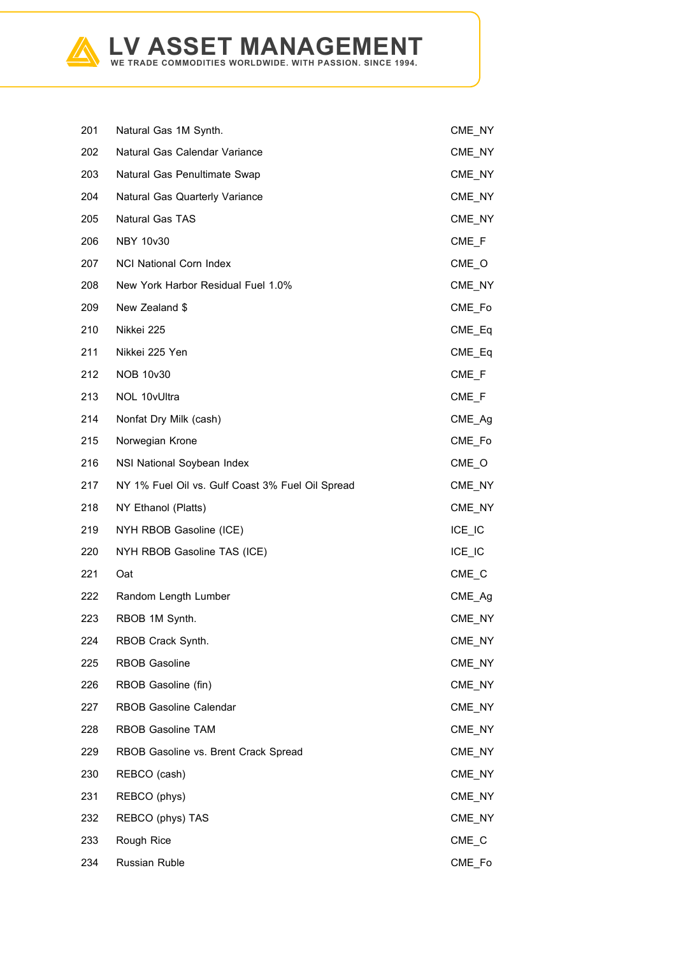

| 201 | Natural Gas 1M Synth.                            | CME_NY             |
|-----|--------------------------------------------------|--------------------|
| 202 | Natural Gas Calendar Variance                    | CME_NY             |
| 203 | Natural Gas Penultimate Swap                     | CME_NY             |
| 204 | Natural Gas Quarterly Variance                   | CME_NY             |
| 205 | Natural Gas TAS                                  | CME_NY             |
| 206 | <b>NBY 10v30</b>                                 | CME F              |
| 207 | <b>NCI National Corn Index</b>                   | $CME_O$            |
| 208 | New York Harbor Residual Fuel 1.0%               | CME NY             |
| 209 | New Zealand \$                                   | CME_Fo             |
| 210 | Nikkei 225                                       | $CME_Eq$           |
| 211 | Nikkei 225 Yen                                   | CME Eq             |
| 212 | <b>NOB 10v30</b>                                 | $CME$ <sub>F</sub> |
| 213 | NOL 10vUltra                                     | $CME$ <sub>F</sub> |
| 214 | Nonfat Dry Milk (cash)                           | CME_Ag             |
| 215 | Norwegian Krone                                  | CME_Fo             |
| 216 | NSI National Soybean Index                       | $CME_$             |
| 217 | NY 1% Fuel Oil vs. Gulf Coast 3% Fuel Oil Spread | CME_NY             |
| 218 | NY Ethanol (Platts)                              | CME_NY             |
| 219 | NYH RBOB Gasoline (ICE)                          | $ICE$ $IC$         |
| 220 | NYH RBOB Gasoline TAS (ICE)                      | $ICE$ $IC$         |
| 221 | Oat                                              | $CME_C$            |
| 222 | Random Length Lumber                             | CME Ag             |
| 223 | RBOB 1M Synth.                                   | CME_NY             |
| 224 | RBOB Crack Synth.                                | CME_NY             |
| 225 | <b>RBOB Gasoline</b>                             | CME_NY             |
| 226 | RBOB Gasoline (fin)                              | CME_NY             |
| 227 | <b>RBOB Gasoline Calendar</b>                    | CME NY             |
| 228 | <b>RBOB Gasoline TAM</b>                         | CME NY             |
| 229 | RBOB Gasoline vs. Brent Crack Spread             | CME_NY             |
| 230 | REBCO (cash)                                     | CME_NY             |
| 231 | REBCO (phys)                                     | CME_NY             |
| 232 | REBCO (phys) TAS                                 | CME_NY             |
| 233 | Rough Rice                                       | $CME_C$            |
| 234 | Russian Ruble                                    | CME Fo             |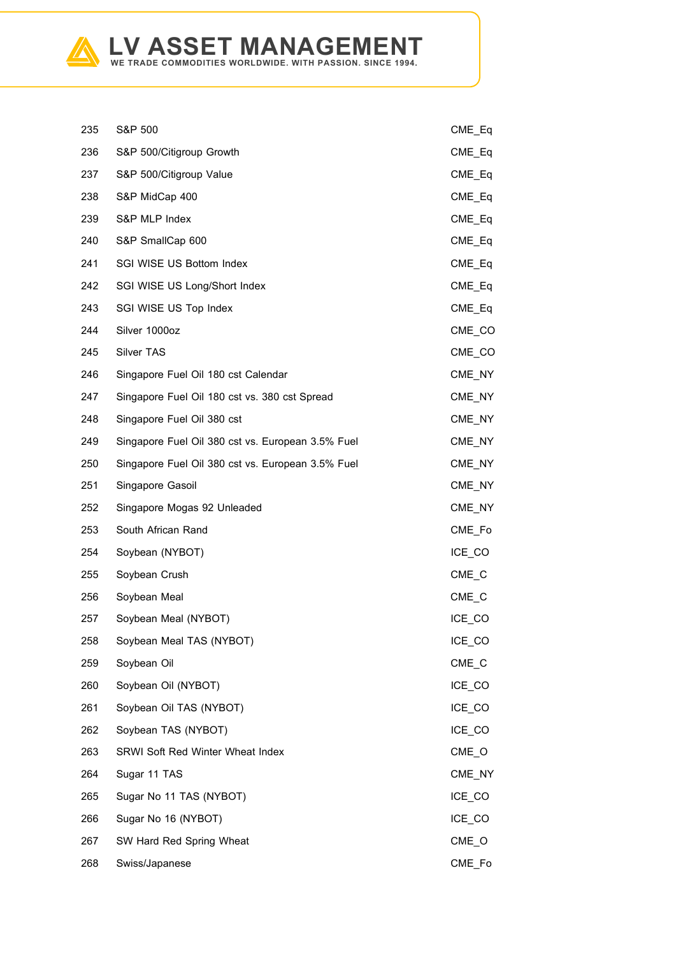

| 235 | S&P 500                                           | CME Eq              |
|-----|---------------------------------------------------|---------------------|
| 236 | S&P 500/Citigroup Growth                          | $CME_Eq$            |
| 237 | S&P 500/Citigroup Value                           | CME_Eq              |
| 238 | S&P MidCap 400                                    | $CME_Eq$            |
| 239 | S&P MLP Index                                     | CME_Eq              |
| 240 | S&P SmallCap 600                                  | CME_Eq              |
| 241 | SGI WISE US Bottom Index                          | CME_Eq              |
| 242 | SGI WISE US Long/Short Index                      | CME Eq              |
| 243 | SGI WISE US Top Index                             | CME_Eq              |
| 244 | Silver 1000oz                                     | $CME$ <sub>CO</sub> |
| 245 | <b>Silver TAS</b>                                 | CME CO              |
| 246 | Singapore Fuel Oil 180 cst Calendar               | CME_NY              |
| 247 | Singapore Fuel Oil 180 cst vs. 380 cst Spread     | CME_NY              |
| 248 | Singapore Fuel Oil 380 cst                        | CME NY              |
| 249 | Singapore Fuel Oil 380 cst vs. European 3.5% Fuel | CME_NY              |
| 250 | Singapore Fuel Oil 380 cst vs. European 3.5% Fuel | CME NY              |
| 251 | Singapore Gasoil                                  | CME NY              |
| 252 | Singapore Mogas 92 Unleaded                       | CME NY              |
| 253 | South African Rand                                | CME_Fo              |
|     |                                                   |                     |
| 254 | Soybean (NYBOT)                                   | ICE CO              |
| 255 | Soybean Crush                                     | $CME_C$             |
| 256 | Soybean Meal                                      | CME C               |
| 257 | Soybean Meal (NYBOT)                              | ICE CO              |
| 258 | Soybean Meal TAS (NYBOT)                          | ICE_CO              |
| 259 | Soybean Oil                                       | $CME_C$             |
| 260 | Soybean Oil (NYBOT)                               | ICE_CO              |
| 261 | Soybean Oil TAS (NYBOT)                           | ICE_CO              |
| 262 | Soybean TAS (NYBOT)                               | ICE_CO              |
| 263 | <b>SRWI Soft Red Winter Wheat Index</b>           | $CME_$              |
| 264 | Sugar 11 TAS                                      | CME_NY              |
| 265 | Sugar No 11 TAS (NYBOT)                           | ICE_CO              |
| 266 | Sugar No 16 (NYBOT)                               | ICE_CO              |
| 267 | SW Hard Red Spring Wheat                          | $CME_$              |